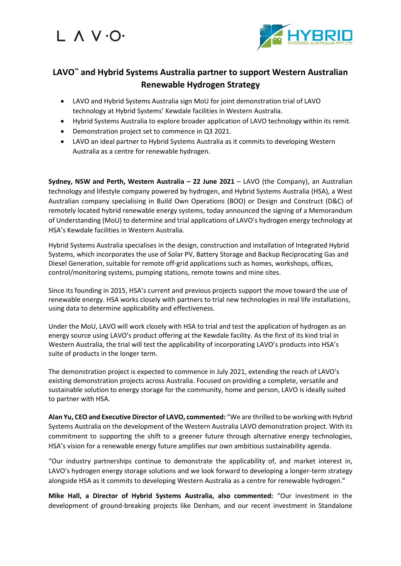# L A V .O.



### **LAVO™ and Hybrid Systems Australia partner to support Western Australian Renewable Hydrogen Strategy**

- LAVO and Hybrid Systems Australia sign MoU for joint demonstration trial of LAVO technology at Hybrid Systems' Kewdale facilities in Western Australia.
- Hybrid Systems Australia to explore broader application of LAVO technology within its remit.
- Demonstration project set to commence in Q3 2021.
- LAVO an ideal partner to Hybrid Systems Australia as it commits to developing Western Australia as a centre for renewable hydrogen.

**Sydney, NSW and Perth, Western Australia – 22 June 2021** – LAVO (the Company), an Australian technology and lifestyle company powered by hydrogen, and Hybrid Systems Australia (HSA), a West Australian company specialising in Build Own Operations (BOO) or Design and Construct (D&C) of remotely located hybrid renewable energy systems, today announced the signing of a Memorandum of Understanding (MoU) to determine and trial applications of LAVO's hydrogen energy technology at HSA's Kewdale facilities in Western Australia.

Hybrid Systems Australia specialises in the design, construction and installation of Integrated Hybrid Systems, which incorporates the use of Solar PV, Battery Storage and Backup Reciprocating Gas and Diesel Generation, suitable for remote off-grid applications such as homes, workshops, offices, control/monitoring systems, pumping stations, remote towns and mine sites.

Since its founding in 2015, HSA's current and previous projects support the move toward the use of renewable energy. HSA works closely with partners to trial new technologies in real life installations, using data to determine applicability and effectiveness.

Under the MoU, LAVO will work closely with HSA to trial and test the application of hydrogen as an energy source using LAVO's product offering at the Kewdale facility. As the first of its kind trial in Western Australia, the trial will test the applicability of incorporating LAVO's products into HSA's suite of products in the longer term.

The demonstration project is expected to commence in July 2021, extending the reach of LAVO's existing demonstration projects across Australia. Focused on providing a complete, versatile and sustainable solution to energy storage for the community, home and person, LAVO is ideally suited to partner with HSA.

**Alan Yu, CEO and Executive Director of LAVO, commented:** "We are thrilled to be working with Hybrid Systems Australia on the development of the Western Australia LAVO demonstration project. With its commitment to supporting the shift to a greener future through alternative energy technologies, HSA's vision for a renewable energy future amplifies our own ambitious sustainability agenda.

"Our industry partnerships continue to demonstrate the applicability of, and market interest in, LAVO's hydrogen energy storage solutions and we look forward to developing a longer-term strategy alongside HSA as it commits to developing Western Australia as a centre for renewable hydrogen."

**Mike Hall, a Director of Hybrid Systems Australia, also commented:** "Our investment in the development of ground-breaking projects like Denham, and our recent investment in Standalone